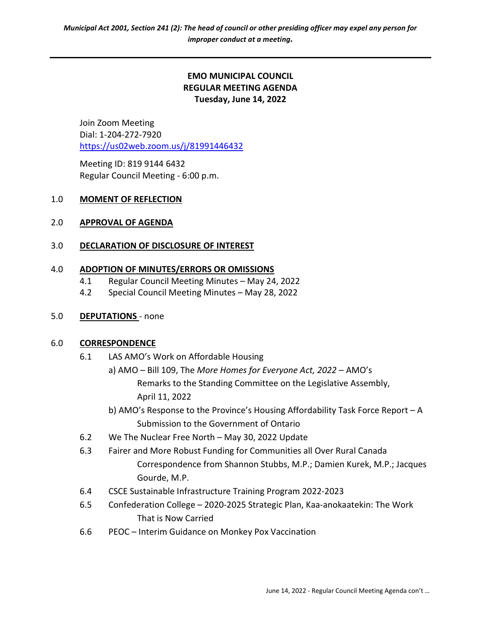## EMO MUNICIPAL COUNCIL REGULAR MEETING AGENDA Tuesday, June 14, 2022

Join Zoom Meeting Dial: 1-204-272-7920 https://us02web.zoom.us/j/81991446432

 Meeting ID: 819 9144 6432 Regular Council Meeting - 6:00 p.m.

### 1.0 MOMENT OF REFLECTION

### 2.0 APPROVAL OF AGENDA

## 3.0 DECLARATION OF DISCLOSURE OF INTEREST

### 4.0 ADOPTION OF MINUTES/ERRORS OR OMISSIONS

- 4.1 Regular Council Meeting Minutes May 24, 2022
- 4.2 Special Council Meeting Minutes May 28, 2022

### 5.0 DEPUTATIONS - none

### 6.0 CORRESPONDENCE

- 6.1 LAS AMO's Work on Affordable Housing
	- a) AMO Bill 109, The More Homes for Everyone Act, 2022 AMO's Remarks to the Standing Committee on the Legislative Assembly, April 11, 2022
	- b) AMO's Response to the Province's Housing Affordability Task Force Report A Submission to the Government of Ontario
- 6.2 We The Nuclear Free North May 30, 2022 Update
- 6.3 Fairer and More Robust Funding for Communities all Over Rural Canada Correspondence from Shannon Stubbs, M.P.; Damien Kurek, M.P.; Jacques Gourde, M.P.
- 6.4 CSCE Sustainable Infrastructure Training Program 2022-2023
- 6.5 Confederation College 2020-2025 Strategic Plan, Kaa-anokaatekin: The Work That is Now Carried
- 6.6 PEOC Interim Guidance on Monkey Pox Vaccination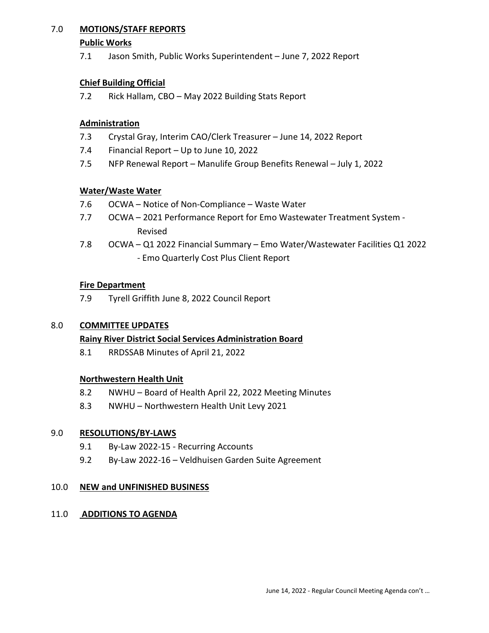## 7.0 MOTIONS/STAFF REPORTS

#### Public Works

7.1 Jason Smith, Public Works Superintendent – June 7, 2022 Report

## Chief Building Official

7.2 Rick Hallam, CBO – May 2022 Building Stats Report

## Administration

- 7.3 Crystal Gray, Interim CAO/Clerk Treasurer June 14, 2022 Report
- 7.4 Financial Report Up to June 10, 2022
- 7.5 NFP Renewal Report Manulife Group Benefits Renewal July 1, 2022

## Water/Waste Water

- 7.6 OCWA Notice of Non-Compliance Waste Water
- 7.7 OCWA 2021 Performance Report for Emo Wastewater Treatment System Revised
- 7.8 OCWA Q1 2022 Financial Summary Emo Water/Wastewater Facilities Q1 2022 - Emo Quarterly Cost Plus Client Report

## Fire Department

7.9 Tyrell Griffith June 8, 2022 Council Report

## 8.0 **COMMITTEE UPDATES**

### Rainy River District Social Services Administration Board

8.1 RRDSSAB Minutes of April 21, 2022

## Northwestern Health Unit

- 8.2 NWHU Board of Health April 22, 2022 Meeting Minutes
- 8.3 NWHU Northwestern Health Unit Levy 2021

### 9.0 RESOLUTIONS/BY-LAWS

- 9.1 By-Law 2022-15 Recurring Accounts
- 9.2 By-Law 2022-16 Veldhuisen Garden Suite Agreement

### 10.0 NEW and UNFINISHED BUSINESS

### 11.0 ADDITIONS TO AGENDA